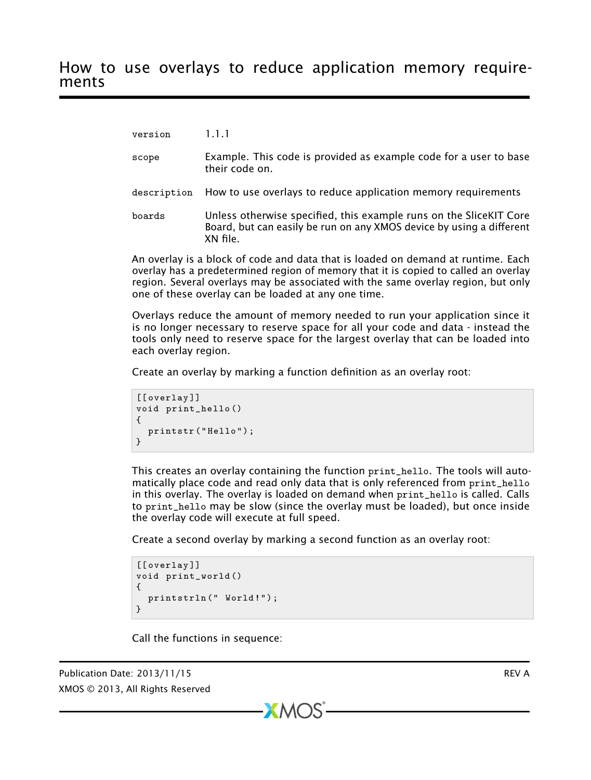version 1.1.1

- scope Example. This code is provided as example code for a user to base their code on.
- description How to use overlays to reduce application memory requirements
- boards Unless otherwise specified, this example runs on the SliceKIT Core Board, but can easily be run on any XMOS device by using a different XN file.

An overlay is a block of code and data that is loaded on demand at runtime. Each overlay has a predetermined region of memory that it is copied to called an overlay region. Several overlays may be associated with the same overlay region, but only one of these overlay can be loaded at any one time.

Overlays reduce the amount of memory needed to run your application since it is no longer necessary to reserve space for all your code and data - instead the tools only need to reserve space for the largest overlay that can be loaded into each overlay region.

Create an overlay by marking a function definition as an overlay root:

```
[[ overlay ]]
void print_hello ()
{
  printstr ("Hello");
}
```
This creates an overlay containing the function print\_hello. The tools will automatically place code and read only data that is only referenced from print\_hello in this overlay. The overlay is loaded on demand when print\_hello is called. Calls to print\_hello may be slow (since the overlay must be loaded), but once inside the overlay code will execute at full speed.

Create a second overlay by marking a second function as an overlay root:

 $XMOS$ 

```
[[overlay]]
void print_world ()
{
  printstrln (" World!");
}
```
Call the functions in sequence:

Publication Date: 2013/11/15 **REV A** XMOS © 2013, All Rights Reserved